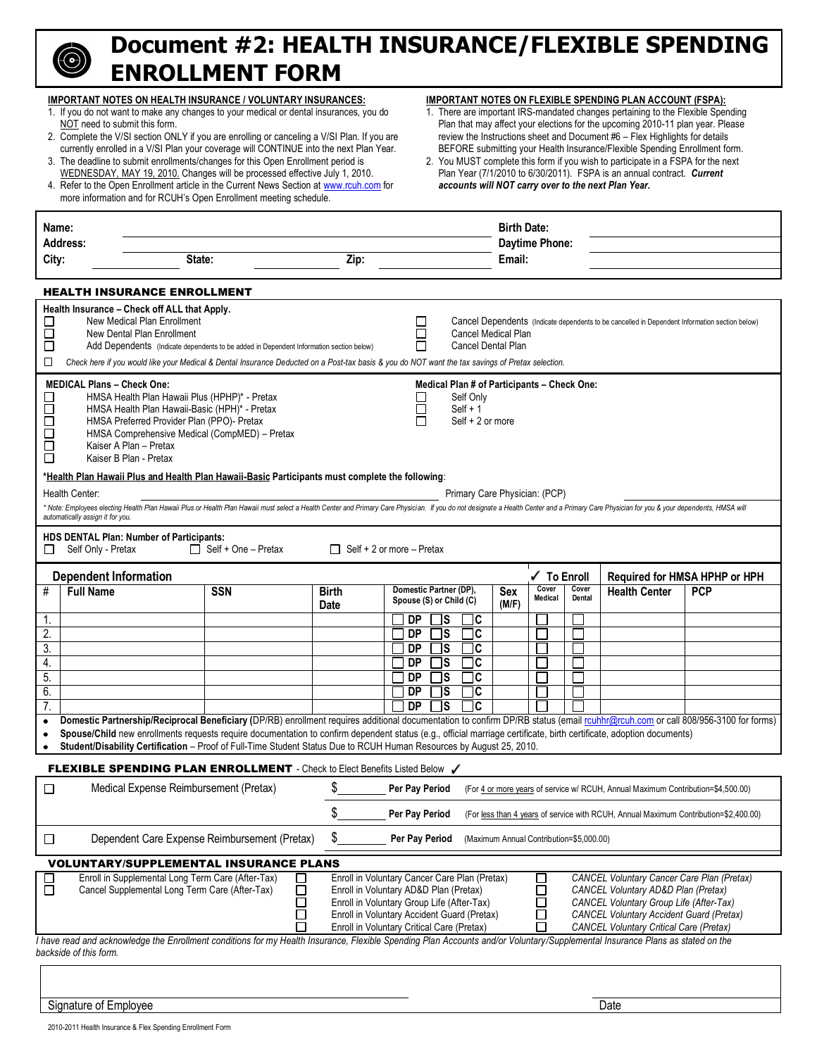# **Document #2: HEALTH INSURANCE/FLEXIBLE SPENDING ENROLLMENT FORM**

|                                                                                                                                                                                                                                                                                                                                                                                                                                                                                                   | <b>IMPORTANT NOTES ON HEALTH INSURANCE / VOLUNTARY INSURANCES:</b><br>1. If you do not want to make any changes to your medical or dental insurances, you do<br>NOT need to submit this form.<br>2. Complete the V/SI section ONLY if you are enrolling or canceling a V/SI Plan. If you are<br>currently enrolled in a V/SI Plan your coverage will CONTINUE into the next Plan Year.<br>3. The deadline to submit enrollments/changes for this Open Enrollment period is<br>WEDNESDAY, MAY 19, 2010. Changes will be processed effective July 1, 2010.<br>4. Refer to the Open Enrollment article in the Current News Section at www.rcuh.com for<br>more information and for RCUH's Open Enrollment meeting schedule. |                             | IMPORTANT NOTES ON FLEXIBLE SPENDING PLAN ACCOUNT (FSPA):<br>1. There are important IRS-mandated changes pertaining to the Flexible Spending<br>Plan that may affect your elections for the upcoming 2010-11 plan year. Please<br>review the Instructions sheet and Document #6 - Flex Highlights for details<br>BEFORE submitting your Health Insurance/Flexible Spending Enrollment form.<br>2. You MUST complete this form if you wish to participate in a FSPA for the next<br>Plan Year (7/1/2010 to 6/30/2011). FSPA is an annual contract. Current<br>accounts will NOT carry over to the next Plan Year. |                                              |                                                   |                                                  |                     |                  |                                     |                                                                                                |            |
|---------------------------------------------------------------------------------------------------------------------------------------------------------------------------------------------------------------------------------------------------------------------------------------------------------------------------------------------------------------------------------------------------------------------------------------------------------------------------------------------------|--------------------------------------------------------------------------------------------------------------------------------------------------------------------------------------------------------------------------------------------------------------------------------------------------------------------------------------------------------------------------------------------------------------------------------------------------------------------------------------------------------------------------------------------------------------------------------------------------------------------------------------------------------------------------------------------------------------------------|-----------------------------|------------------------------------------------------------------------------------------------------------------------------------------------------------------------------------------------------------------------------------------------------------------------------------------------------------------------------------------------------------------------------------------------------------------------------------------------------------------------------------------------------------------------------------------------------------------------------------------------------------------|----------------------------------------------|---------------------------------------------------|--------------------------------------------------|---------------------|------------------|-------------------------------------|------------------------------------------------------------------------------------------------|------------|
| Name:                                                                                                                                                                                                                                                                                                                                                                                                                                                                                             |                                                                                                                                                                                                                                                                                                                                                                                                                                                                                                                                                                                                                                                                                                                          |                             |                                                                                                                                                                                                                                                                                                                                                                                                                                                                                                                                                                                                                  |                                              |                                                   |                                                  | <b>Birth Date:</b>  |                  |                                     |                                                                                                |            |
|                                                                                                                                                                                                                                                                                                                                                                                                                                                                                                   | <b>Address:</b>                                                                                                                                                                                                                                                                                                                                                                                                                                                                                                                                                                                                                                                                                                          |                             |                                                                                                                                                                                                                                                                                                                                                                                                                                                                                                                                                                                                                  |                                              |                                                   |                                                  |                     | Daytime Phone:   |                                     |                                                                                                |            |
| City:                                                                                                                                                                                                                                                                                                                                                                                                                                                                                             | State:                                                                                                                                                                                                                                                                                                                                                                                                                                                                                                                                                                                                                                                                                                                   |                             | Zip:                                                                                                                                                                                                                                                                                                                                                                                                                                                                                                                                                                                                             |                                              |                                                   |                                                  | Email:              |                  |                                     |                                                                                                |            |
|                                                                                                                                                                                                                                                                                                                                                                                                                                                                                                   | <b>HEALTH INSURANCE ENROLLMENT</b>                                                                                                                                                                                                                                                                                                                                                                                                                                                                                                                                                                                                                                                                                       |                             |                                                                                                                                                                                                                                                                                                                                                                                                                                                                                                                                                                                                                  |                                              |                                                   |                                                  |                     |                  |                                     |                                                                                                |            |
| □<br>$\Box$<br>$\Box$<br>□                                                                                                                                                                                                                                                                                                                                                                                                                                                                        | Health Insurance - Check off ALL that Apply.<br>New Medical Plan Enrollment<br>New Dental Plan Enrollment<br>Add Dependents (Indicate dependents to be added in Dependent Information section below)<br>Check here if you would like your Medical & Dental Insurance Deducted on a Post-tax basis & you do NOT want the tax savings of Pretax selection.                                                                                                                                                                                                                                                                                                                                                                 |                             |                                                                                                                                                                                                                                                                                                                                                                                                                                                                                                                                                                                                                  | $\Box$<br>$\Box$<br>П                        |                                                   | Cancel Medical Plan<br><b>Cancel Dental Plan</b> |                     |                  |                                     | Cancel Dependents (Indicate dependents to be cancelled in Dependent Information section below) |            |
|                                                                                                                                                                                                                                                                                                                                                                                                                                                                                                   |                                                                                                                                                                                                                                                                                                                                                                                                                                                                                                                                                                                                                                                                                                                          |                             |                                                                                                                                                                                                                                                                                                                                                                                                                                                                                                                                                                                                                  |                                              |                                                   |                                                  |                     |                  |                                     |                                                                                                |            |
| □<br>$\Box$<br>$\Box$<br>$\Box$<br>$\Box$<br>$\Box$                                                                                                                                                                                                                                                                                                                                                                                                                                               | <b>MEDICAL Plans - Check One:</b><br>Medical Plan # of Participants - Check One:<br>HMSA Health Plan Hawaii Plus (HPHP)* - Pretax<br>Self Only<br>$\Box$<br>$\Box$<br>HMSA Health Plan Hawaii-Basic (HPH)* - Pretax<br>$Self + 1$<br>HMSA Preferred Provider Plan (PPO)- Pretax<br>П<br>Self + 2 or more<br>HMSA Comprehensive Medical (CompMED) - Pretax<br>Kaiser A Plan - Pretax<br>Kaiser B Plan - Pretax                                                                                                                                                                                                                                                                                                            |                             |                                                                                                                                                                                                                                                                                                                                                                                                                                                                                                                                                                                                                  |                                              |                                                   |                                                  |                     |                  |                                     |                                                                                                |            |
|                                                                                                                                                                                                                                                                                                                                                                                                                                                                                                   | *Health Plan Hawaii Plus and Health Plan Hawaii-Basic Participants must complete the following:                                                                                                                                                                                                                                                                                                                                                                                                                                                                                                                                                                                                                          |                             |                                                                                                                                                                                                                                                                                                                                                                                                                                                                                                                                                                                                                  |                                              |                                                   |                                                  |                     |                  |                                     |                                                                                                |            |
|                                                                                                                                                                                                                                                                                                                                                                                                                                                                                                   | Health Center:<br>Primary Care Physician: (PCP)<br>* Note: Employees electing Health Plan Hawaii Plus or Health Plan Hawaii must select a Health Center and Primary Care Physician. If you do not designate a Health Center and a Primary Care Physician for you & your dependent                                                                                                                                                                                                                                                                                                                                                                                                                                        |                             |                                                                                                                                                                                                                                                                                                                                                                                                                                                                                                                                                                                                                  |                                              |                                                   |                                                  |                     |                  |                                     |                                                                                                |            |
|                                                                                                                                                                                                                                                                                                                                                                                                                                                                                                   | automatically assign it for you.                                                                                                                                                                                                                                                                                                                                                                                                                                                                                                                                                                                                                                                                                         |                             |                                                                                                                                                                                                                                                                                                                                                                                                                                                                                                                                                                                                                  |                                              |                                                   |                                                  |                     |                  |                                     |                                                                                                |            |
| $\Box$                                                                                                                                                                                                                                                                                                                                                                                                                                                                                            | HDS DENTAL Plan: Number of Participants:<br>Self Only - Pretax                                                                                                                                                                                                                                                                                                                                                                                                                                                                                                                                                                                                                                                           | $\Box$ Self + One – Pretax  | $\Box$ Self + 2 or more – Pretax                                                                                                                                                                                                                                                                                                                                                                                                                                                                                                                                                                                 |                                              |                                                   |                                                  |                     |                  |                                     |                                                                                                |            |
|                                                                                                                                                                                                                                                                                                                                                                                                                                                                                                   | <b>Dependent Information</b>                                                                                                                                                                                                                                                                                                                                                                                                                                                                                                                                                                                                                                                                                             |                             |                                                                                                                                                                                                                                                                                                                                                                                                                                                                                                                                                                                                                  | √ To Enroll<br>Required for HMSA HPHP or HPH |                                                   |                                                  |                     |                  |                                     |                                                                                                |            |
| #                                                                                                                                                                                                                                                                                                                                                                                                                                                                                                 | <b>Full Name</b>                                                                                                                                                                                                                                                                                                                                                                                                                                                                                                                                                                                                                                                                                                         | <b>SSN</b>                  | <b>Birth</b><br><b>Date</b>                                                                                                                                                                                                                                                                                                                                                                                                                                                                                                                                                                                      |                                              | Domestic Partner (DP),<br>Spouse (S) or Child (C) |                                                  | <b>Sex</b><br>(M/F) | Cover<br>Medical | Cover<br>Dental                     | <b>Health Center</b>                                                                           | <b>PCP</b> |
| 1.                                                                                                                                                                                                                                                                                                                                                                                                                                                                                                |                                                                                                                                                                                                                                                                                                                                                                                                                                                                                                                                                                                                                                                                                                                          |                             |                                                                                                                                                                                                                                                                                                                                                                                                                                                                                                                                                                                                                  | <b>DP</b>                                    | 1s                                                | ⊐c                                               |                     |                  |                                     |                                                                                                |            |
| 2.                                                                                                                                                                                                                                                                                                                                                                                                                                                                                                |                                                                                                                                                                                                                                                                                                                                                                                                                                                                                                                                                                                                                                                                                                                          |                             |                                                                                                                                                                                                                                                                                                                                                                                                                                                                                                                                                                                                                  | <b>DP</b>                                    | $\overline{\mathsf{u}}$                           | $\overline{\textsf{c}}$                          |                     |                  |                                     |                                                                                                |            |
| 3.                                                                                                                                                                                                                                                                                                                                                                                                                                                                                                |                                                                                                                                                                                                                                                                                                                                                                                                                                                                                                                                                                                                                                                                                                                          |                             |                                                                                                                                                                                                                                                                                                                                                                                                                                                                                                                                                                                                                  | <b>DP</b><br><b>DP</b>                       | ٦s<br>lS                                          | $\overline{\text{c}}$<br>$\overline{\text{c}}$   |                     |                  |                                     |                                                                                                |            |
| 4.<br>5.                                                                                                                                                                                                                                                                                                                                                                                                                                                                                          |                                                                                                                                                                                                                                                                                                                                                                                                                                                                                                                                                                                                                                                                                                                          |                             |                                                                                                                                                                                                                                                                                                                                                                                                                                                                                                                                                                                                                  | <b>DP</b>                                    | lS                                                | C                                                |                     |                  |                                     |                                                                                                |            |
| 6.                                                                                                                                                                                                                                                                                                                                                                                                                                                                                                |                                                                                                                                                                                                                                                                                                                                                                                                                                                                                                                                                                                                                                                                                                                          |                             |                                                                                                                                                                                                                                                                                                                                                                                                                                                                                                                                                                                                                  | DP                                           | $\Box$ s                                          | $\Box$ c                                         |                     |                  |                                     |                                                                                                |            |
| 7.                                                                                                                                                                                                                                                                                                                                                                                                                                                                                                |                                                                                                                                                                                                                                                                                                                                                                                                                                                                                                                                                                                                                                                                                                                          |                             |                                                                                                                                                                                                                                                                                                                                                                                                                                                                                                                                                                                                                  | DP                                           | IS                                                |                                                  |                     |                  |                                     |                                                                                                |            |
| Domestic Partnership/Reciprocal Beneficiary (DP/RB) enrollment requires additional documentation to confirm DP/RB status (email rouhhr@rcuh.com or call 808/956-3100 for forms)<br>$\bullet$<br>Spouse/Child new enrollments requests require documentation to confirm dependent status (e.g., official marriage certificate, birth certificate, adoption documents)<br>٠<br>Student/Disability Certification - Proof of Full-Time Student Status Due to RCUH Human Resources by August 25, 2010. |                                                                                                                                                                                                                                                                                                                                                                                                                                                                                                                                                                                                                                                                                                                          |                             |                                                                                                                                                                                                                                                                                                                                                                                                                                                                                                                                                                                                                  |                                              |                                                   |                                                  |                     |                  |                                     |                                                                                                |            |
|                                                                                                                                                                                                                                                                                                                                                                                                                                                                                                   | <b>FLEXIBLE SPENDING PLAN ENROLLMENT</b> - Check to Elect Benefits Listed Below /                                                                                                                                                                                                                                                                                                                                                                                                                                                                                                                                                                                                                                        |                             |                                                                                                                                                                                                                                                                                                                                                                                                                                                                                                                                                                                                                  |                                              |                                                   |                                                  |                     |                  |                                     |                                                                                                |            |
| $\Box$                                                                                                                                                                                                                                                                                                                                                                                                                                                                                            | Medical Expense Reimbursement (Pretax)                                                                                                                                                                                                                                                                                                                                                                                                                                                                                                                                                                                                                                                                                   |                             | (For 4 or more years of service w/ RCUH, Annual Maximum Contribution=\$4,500.00)<br>Per Pay Period                                                                                                                                                                                                                                                                                                                                                                                                                                                                                                               |                                              |                                                   |                                                  |                     |                  |                                     |                                                                                                |            |
| □                                                                                                                                                                                                                                                                                                                                                                                                                                                                                                 | \$<br>Per Pay Period<br>(For less than 4 years of service with RCUH, Annual Maximum Contribution=\$2,400.00)<br>\$<br>Dependent Care Expense Reimbursement (Pretax)<br>Per Pay Period<br>(Maximum Annual Contribution=\$5,000.00)                                                                                                                                                                                                                                                                                                                                                                                                                                                                                        |                             |                                                                                                                                                                                                                                                                                                                                                                                                                                                                                                                                                                                                                  |                                              |                                                   |                                                  |                     |                  |                                     |                                                                                                |            |
|                                                                                                                                                                                                                                                                                                                                                                                                                                                                                                   |                                                                                                                                                                                                                                                                                                                                                                                                                                                                                                                                                                                                                                                                                                                          |                             |                                                                                                                                                                                                                                                                                                                                                                                                                                                                                                                                                                                                                  |                                              |                                                   |                                                  |                     |                  |                                     |                                                                                                |            |
|                                                                                                                                                                                                                                                                                                                                                                                                                                                                                                   | <b>VOLUNTARY/SUPPLEMENTAL INSURANCE PLANS</b><br>Enroll in Supplemental Long Term Care (After-Tax)                                                                                                                                                                                                                                                                                                                                                                                                                                                                                                                                                                                                                       | $\mathcal{L}_{\mathcal{A}}$ | Enroll in Voluntary Cancer Care Plan (Pretax)                                                                                                                                                                                                                                                                                                                                                                                                                                                                                                                                                                    |                                              |                                                   |                                                  |                     |                  |                                     | <b>CANCEL Voluntary Cancer Care Plan (Pretax)</b>                                              |            |
| $\Box$                                                                                                                                                                                                                                                                                                                                                                                                                                                                                            | Cancel Supplemental Long Term Care (After-Tax)                                                                                                                                                                                                                                                                                                                                                                                                                                                                                                                                                                                                                                                                           |                             | Enroll in Voluntary AD&D Plan (Pretax)<br>П                                                                                                                                                                                                                                                                                                                                                                                                                                                                                                                                                                      |                                              |                                                   |                                                  |                     |                  | CANCEL Voluntary AD&D Plan (Pretax) |                                                                                                |            |
|                                                                                                                                                                                                                                                                                                                                                                                                                                                                                                   |                                                                                                                                                                                                                                                                                                                                                                                                                                                                                                                                                                                                                                                                                                                          |                             | Enroll in Voluntary Group Life (After-Tax)<br>CANCEL Voluntary Group Life (After-Tax)<br>Enroll in Voluntary Accident Guard (Pretax)<br><b>CANCEL Voluntary Accident Guard (Pretax)</b><br>$\Box$                                                                                                                                                                                                                                                                                                                                                                                                                |                                              |                                                   |                                                  |                     |                  |                                     |                                                                                                |            |
|                                                                                                                                                                                                                                                                                                                                                                                                                                                                                                   |                                                                                                                                                                                                                                                                                                                                                                                                                                                                                                                                                                                                                                                                                                                          |                             | Enroll in Voluntary Critical Care (Pretax)<br><b>CANCEL Voluntary Critical Care (Pretax)</b><br>$\mathbf{I}$                                                                                                                                                                                                                                                                                                                                                                                                                                                                                                     |                                              |                                                   |                                                  |                     |                  |                                     |                                                                                                |            |
|                                                                                                                                                                                                                                                                                                                                                                                                                                                                                                   | I have read and acknowledge the Enrollment conditions for my Health Insurance, Flexible Spending Plan Accounts and/or Voluntary/Supplemental Insurance Plans as stated on the<br>backside of this form.                                                                                                                                                                                                                                                                                                                                                                                                                                                                                                                  |                             |                                                                                                                                                                                                                                                                                                                                                                                                                                                                                                                                                                                                                  |                                              |                                                   |                                                  |                     |                  |                                     |                                                                                                |            |
|                                                                                                                                                                                                                                                                                                                                                                                                                                                                                                   |                                                                                                                                                                                                                                                                                                                                                                                                                                                                                                                                                                                                                                                                                                                          |                             |                                                                                                                                                                                                                                                                                                                                                                                                                                                                                                                                                                                                                  |                                              |                                                   |                                                  |                     |                  |                                     |                                                                                                |            |

Signature of Employee Date